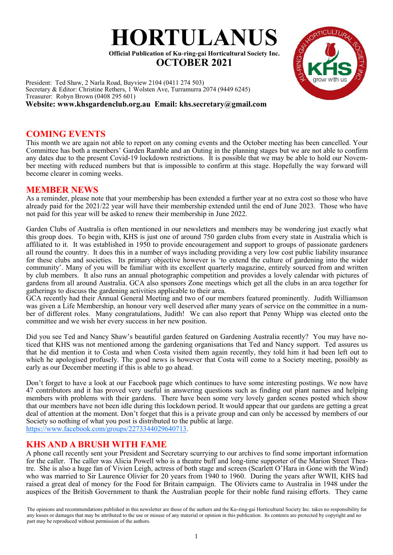

President: Ted Shaw, 2 Narla Road, Bayview 2104 (0411 274 503) Secretary & Editor: Christine Rethers, 1 Wolsten Ave, Turramurra 2074 (9449 6245) Treasurer: Robyn Brown (0408 295 601) **Website: www.khsgardenclub.org.au Email: khs.secretary@gmail.com**

## **COMING EVENTS**

This month we are again not able to report on any coming events and the October meeting has been cancelled. Your Committee has both a members' Garden Ramble and an Outing in the planning stages but we are not able to confirm any dates due to the present Covid-19 lockdown restrictions. It is possible that we may be able to hold our November meeting with reduced numbers but that is impossible to confirm at this stage. Hopefully the way forward will become clearer in coming weeks.

## **MEMBER NEWS**

As a reminder, please note that your membership has been extended a further year at no extra cost so those who have already paid for the 2021/22 year will have their membership extended until the end of June 2023. Those who have not paid for this year will be asked to renew their membership in June 2022.

Garden Clubs of Australia is often mentioned in our newsletters and members may be wondering just exactly what this group does. To begin with, KHS is just one of around 750 garden clubs from every state in Australia which is affiliated to it. It was established in 1950 to provide encouragement and support to groups of passionate gardeners all round the country. It does this in a number of ways including providing a very low cost public liability insurance for these clubs and societies. Its primary objective however is 'to extend the culture of gardening into the wider community'. Many of you will be familiar with its excellent quarterly magazine, entirely sourced from and written by club members. It also runs an annual photographic competition and provides a lovely calendar with pictures of gardens from all around Australia. GCA also sponsors Zone meetings which get all the clubs in an area together for gatherings to discuss the gardening activities applicable to their area.

GCA recently had their Annual General Meeting and two of our members featured prominently. Judith Williamson was given a Life Membership, an honour very well deserved after many years of service on the committee in a number of different roles. Many congratulations, Judith! We can also report that Penny Whipp was elected onto the committee and we wish her every success in her new position.

Did you see Ted and Nancy Shaw's beautiful garden featured on Gardening Australia recently? You may have noticed that KHS was not mentioned among the gardening organisations that Ted and Nancy support. Ted assures us that he did mention it to Costa and when Costa visited them again recently, they told him it had been left out to which he apologised profusely. The good news is however that Costa will come to a Society meeting, possibly as early as our December meeting if this is able to go ahead.

Don't forget to have a look at our Facebook page which continues to have some interesting postings. We now have 47 contributors and it has proved very useful in answering questions such as finding out plant names and helping members with problems with their gardens. There have been some very lovely garden scenes posted which show that our members have not been idle during this lockdown period. It would appear that our gardens are getting a great deal of attention at the moment. Don't forget that this is a private group and can only be accessed by members of our Society so nothing of what you post is distributed to the public at large. <https://www.facebook.com/groups/2273344029640713>.

## **KHS AND A BRUSH WITH FAME**

A phone call recently sent your President and Secretary scurrying to our archives to find some important information for the caller. The caller was Alicia Powell who is a theatre buff and long-time supporter of the Marion Street Theatre. She is also a huge fan of Vivien Leigh, actress of both stage and screen (Scarlett O'Hara in Gone with the Wind) who was married to Sir Laurence Olivier for 20 years from 1940 to 1960. During the years after WWII, KHS had raised a great deal of money for the Food for Britain campaign. The Oliviers came to Australia in 1948 under the auspices of the British Government to thank the Australian people for their noble fund raising efforts. They came

The opinions and recommendations published in this newsletter are those of the authors and the Ku-ring-gai Horticultural Society Inc. takes no responsibility for any losses or damages that may be attributed to the use or misuse of any material or opinion in this publication. Its contents are protected by copyright and no part may be reproduced without permission of the authors.

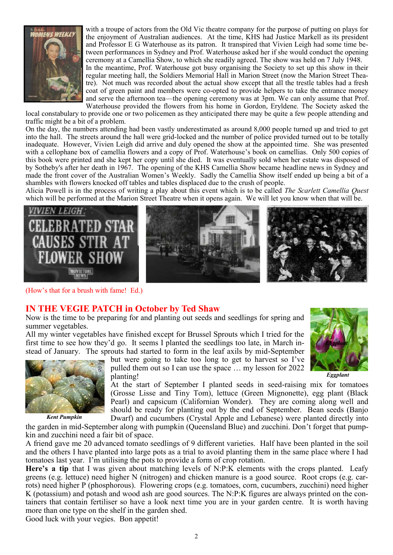

with a troupe of actors from the Old Vic theatre company for the purpose of putting on plays for the enjoyment of Australian audiences. At the time, KHS had Justice Markell as its president and Professor E G Waterhouse as its patron. It transpired that Vivien Leigh had some time between performances in Sydney and Prof. Waterhouse asked her if she would conduct the opening ceremony at a Camellia Show, to which she readily agreed. The show was held on 7 July 1948. In the meantime, Prof. Waterhouse got busy organising the Society to set up this show in their regular meeting hall, the Soldiers Memorial Hall in Marion Street (now the Marion Street Theatre). Not much was recorded about the actual show except that all the trestle tables had a fresh coat of green paint and members were co-opted to provide helpers to take the entrance money and serve the afternoon tea—the opening ceremony was at 3pm. We can only assume that Prof. Waterhouse provided the flowers from his home in Gordon, Eryldene. The Society asked the

local constabulary to provide one or two policemen as they anticipated there may be quite a few people attending and traffic might be a bit of a problem.

On the day, the numbers attending had been vastly underestimated as around 8,000 people turned up and tried to get into the hall. The streets around the hall were grid-locked and the number of police provided turned out to be totally inadequate. However, Vivien Leigh did arrive and duly opened the show at the appointed time. She was presented with a cellophane box of camellia flowers and a copy of Prof. Waterhouse's book on camellias. Only 500 copies of this book were printed and she kept her copy until she died. It was eventually sold when her estate was disposed of by Sotheby's after her death in 1967. The opening of the KHS Camellia Show became headline news in Sydney and made the front cover of the Australian Women's Weekly. Sadly the Camellia Show itself ended up being a bit of a shambles with flowers knocked off tables and tables displaced due to the crush of people.

Alicia Powell is in the process of writing a play about this event which is to be called *The Scarlett Camellia Quest*  which will be performed at the Marion Street Theatre when it opens again. We will let you know when that will be.



(How's that for a brush with fame! Ed.)

## **IN THE VEGIE PATCH in October by Ted Shaw**

Now is the time to be preparing for and planting out seeds and seedlings for spring and summer vegetables.

All my winter vegetables have finished except for Brussel Sprouts which I tried for the first time to see how they'd go. It seems I planted the seedlings too late, in March instead of January. The sprouts had started to form in the leaf axils by mid-September



but were going to take too long to get to harvest so I've pulled them out so I can use the space … my lesson for 2022 planting!

 *Eggplant*

*Eggplant*

At the start of September I planted seeds in seed-raising mix for tomatoes (Grosse Lisse and Tiny Tom), lettuce (Green Mignonette), egg plant (Black Pearl) and capsicum (Californian Wonder). They are coming along well and should be ready for planting out by the end of September. Bean seeds (Banjo Dwarf) and cucumbers (Crystal Apple and Lebanese) were planted directly into

the garden in mid-September along with pumpkin (Queensland Blue) and zucchini. Don't forget that pumpkin and zucchini need a fair bit of space.

A friend gave me 20 advanced tomato seedlings of 9 different varieties. Half have been planted in the soil and the others I have planted into large pots as a trial to avoid planting them in the same place where I had tomatoes last year. I'm utilising the pots to provide a form of crop rotation.

**Here's a tip** that I was given about matching levels of N:P:K elements with the crops planted. Leafy greens (e.g. lettuce) need higher N (nitrogen) and chicken manure is a good source. Root crops (e.g. carrots) need higher P (phosphorous). Flowering crops (e.g. tomatoes, corn, cucumbers, zucchini) need higher K (potassium) and potash and wood ash are good sources. The N:P:K figures are always printed on the containers that contain fertiliser so have a look next time you are in your garden centre. It is worth having more than one type on the shelf in the garden shed.

Good luck with your vegies. Bon appetit!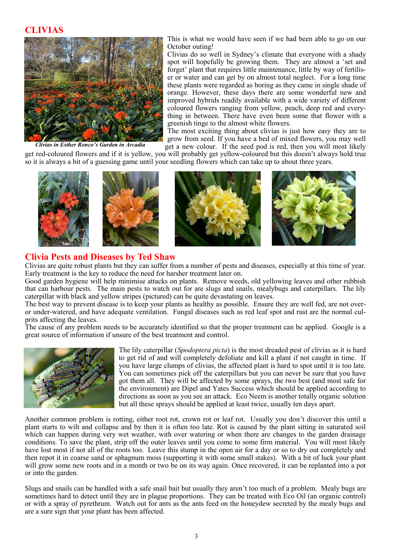### **CLIVIAS**



*Clivias in Esther Ronco's Garden in Arcadia*

This is what we would have seen if we had been able to go on our October outing!

Clivias do so well in Sydney's climate that everyone with a shady spot will hopefully be growing them. They are almost a 'set and forget' plant that requires little maintenance, little by way of fertiliser or water and can get by on almost total neglect. For a long time these plants were regarded as boring as they came in single shade of orange. However, these days there are some wonderful new and improved hybrids readily available with a wide variety of different coloured flowers ranging from yellow, peach, deep red and everything in between. There have even been some that flower with a greenish tinge to the almost white flowers.

The most exciting thing about clivias is just how easy they are to grow from seed. If you have a bed of mixed flowers, you may well get a new colour. If the seed pod is red, then you will most likely

get red-coloured flowers and if it is yellow, you will probably get yellow-coloured but this doesn't always hold true so it is always a bit of a guessing game until your seedling flowers which can take up to about three years.



#### **Clivia Pests and Diseases by Ted Shaw**

Clivias are quite robust plants but they can suffer from a number of pests and diseases, especially at this time of year. Early treatment is the key to reduce the need for harsher treatment later on.

Good garden hygiene will help minimise attacks on plants. Remove weeds, old yellowing leaves and other rubbish that can harbour pests. The main pests to watch out for are slugs and snails, mealybugs and caterpillars. The lily caterpillar with black and yellow stripes (pictured) can be quite devastating on leaves.

The best way to prevent disease is to keep your plants as healthy as possible. Ensure they are well fed, are not overor under-watered, and have adequate ventilation. Fungal diseases such as red leaf spot and rust are the normal culprits affecting the leaves.

The cause of any problem needs to be accurately identified so that the proper treatment can be applied. Google is a great source of information if unsure of the best treatment and control.



The lily caterpillar (*Spodoptera picta*) is the most dreaded pest of clivias as it is hard to get rid of and will completely defoliate and kill a plant if not caught in time. If you have large clumps of clivias, the affected plant is hard to spot until it is too late. You can sometimes pick off the caterpillars but you can never be sure that you have got them all. They will be affected by some sprays, the two best (and most safe for the environment) are Dipel and Yates Success which should be applied according to directions as soon as you see an attack. Eco Neem is another totally organic solution but all these sprays should be applied at least twice, usually ten days apart.

Another common problem is rotting, either root rot, crown rot or leaf rot. Usually you don't discover this until a plant starts to wilt and collapse and by then it is often too late. Rot is caused by the plant sitting in saturated soil which can happen during very wet weather, with over watering or when there are changes to the garden drainage conditions. To save the plant, strip off the outer leaves until you come to some firm material. You will most likely have lost most if not all of the roots too. Leave this stump in the open air for a day or so to dry out completely and then repot it in coarse sand or sphagnum moss (supporting it with some small stakes). With a bit of luck your plant will grow some new roots and in a month or two be on its way again. Once recovered, it can be replanted into a pot or into the garden.

Slugs and snails can be handled with a safe snail bait but usually they aren't too much of a problem. Mealy bugs are sometimes hard to detect until they are in plague proportions. They can be treated with Eco Oil (an organic control) or with a spray of pyrethrum. Watch out for ants as the ants feed on the honeydew secreted by the mealy bugs and are a sure sign that your plant has been affected.